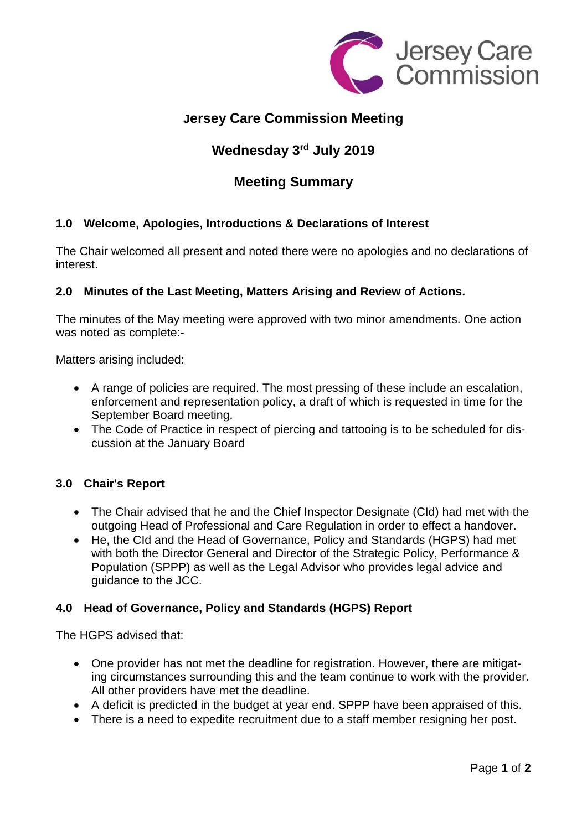

# **Jersey Care Commission Meeting**

# **Wednesday 3 rd July 2019**

# **Meeting Summary**

## **1.0 Welcome, Apologies, Introductions & Declarations of Interest**

The Chair welcomed all present and noted there were no apologies and no declarations of interest.

## **2.0 Minutes of the Last Meeting, Matters Arising and Review of Actions.**

The minutes of the May meeting were approved with two minor amendments. One action was noted as complete:-

Matters arising included:

- A range of policies are required. The most pressing of these include an escalation, enforcement and representation policy, a draft of which is requested in time for the September Board meeting.
- The Code of Practice in respect of piercing and tattooing is to be scheduled for discussion at the January Board

#### **3.0 Chair's Report**

- The Chair advised that he and the Chief Inspector Designate (CId) had met with the outgoing Head of Professional and Care Regulation in order to effect a handover.
- He, the CId and the Head of Governance, Policy and Standards (HGPS) had met with both the Director General and Director of the Strategic Policy, Performance & Population (SPPP) as well as the Legal Advisor who provides legal advice and guidance to the JCC.

## **4.0 Head of Governance, Policy and Standards (HGPS) Report**

The HGPS advised that:

- One provider has not met the deadline for registration. However, there are mitigating circumstances surrounding this and the team continue to work with the provider. All other providers have met the deadline.
- A deficit is predicted in the budget at year end. SPPP have been appraised of this.
- There is a need to expedite recruitment due to a staff member resigning her post.